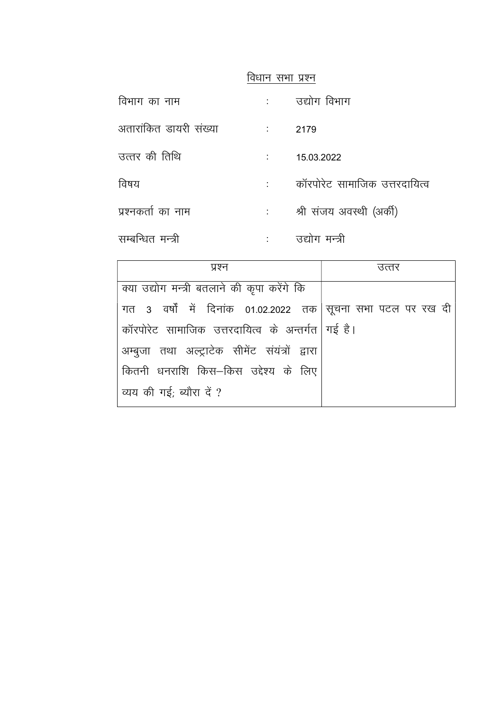विधान सभा प्रश्न

| विभाग का नाम           |                                        | उद्योग विभाग                  |
|------------------------|----------------------------------------|-------------------------------|
| अतारांकित डायरी संख्या | <b>Contract Contract</b>               | 2179                          |
| उत्तर की तिथि          |                                        | 15.03.2022                    |
| विषय                   |                                        | कॉरपोरेट सामाजिक उत्तरदायित्व |
| प्रश्नकर्ता का नाम     | $\mathbb{E}[\mathcal{E}(\mathcal{E})]$ | श्री संजय अवस्थी (अर्की)      |
| सम्बन्धित मन्त्री      |                                        | उद्योग मन्त्री                |

| प्रश्न                                                      | उत्तर |  |  |  |  |
|-------------------------------------------------------------|-------|--|--|--|--|
| क्या उद्योग मन्त्री बतलाने की कृपा करेंगे कि                |       |  |  |  |  |
| गत 3 वर्षों में दिनांक 01.02.2022 तक सूचना सभा पटल पर रख दी |       |  |  |  |  |
| कॉरपोरेट सामाजिक उत्तरदायित्व के अन्तर्गत गई है।            |       |  |  |  |  |
| अम्बुजा तथा अल्ट्राटेक सीमेंट संयंत्रों द्वारा              |       |  |  |  |  |
| कितनी धनराशि किस–किस उद्देश्य के लिए                        |       |  |  |  |  |
| व्यय की गई; ब्यौरा दें ?                                    |       |  |  |  |  |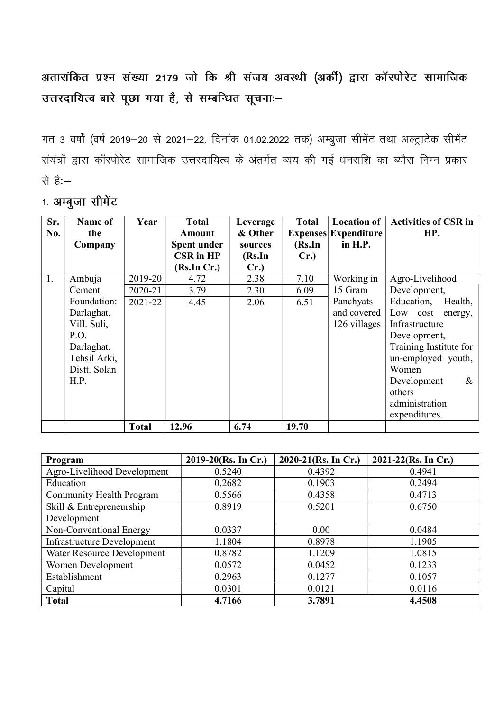अतारांकित प्रश्न संख्या 2179 जो कि श्री संजय अवस्थी (अर्की) द्वारा कॉरपोरेट सामाजिक उत्तरदायित्व बारे पूछा गया है, से सम्बन्धित सूचनाः-

गत 3 वर्षों (वर्ष 2019-20 से 2021-22, दिनांक 01.02.2022 तक) अम्बुजा सीमेंट तथा अल्ट्राटेक सीमेंट संयंत्रों द्वारा कॉरपोरेट सामाजिक उत्तरदायित्व के अंतर्गत व्यय की गई धनराशि का ब्यौरा निम्न प्रकार से है:—

Sr. No. Name of the Company Year Total Amount Spent under CSR in HP (Rs.In Cr.) Leverage & Other sources (Rs.In Cr.) Total Expenses Expenditure (Rs.In Cr.) Location of in H.P. Activities of CSR in HP. 1. Ambuja Cement Foundation: Darlaghat, Vill. Suli, P.O. Darlaghat, Tehsil Arki, Distt. Solan H.P. 2019-20 4.72 2.38 7.10 Working in 15 Gram Panchyats and covered 126 villages Agro-Livelihood Development, Education, Health, Low cost energy, Infrastructure Development, Training Institute for un-employed youth, Women Development & others administration expenditures. 2020-21 3.79 2.30 6.09 2021-22 4.45 2.06 6.51 | Total | 12.96 | 6.74 | 19.70

| 1. अम्बुजा सीमेंट |  |
|-------------------|--|
|                   |  |

| Program                           | $2019-20$ (Rs. In Cr.) | 2020-21(Rs. In Cr.) | $2021 - 22$ (Rs. In Cr.) |
|-----------------------------------|------------------------|---------------------|--------------------------|
| Agro-Livelihood Development       | 0.5240                 | 0.4392              | 0.4941                   |
| Education                         | 0.2682                 | 0.1903              | 0.2494                   |
| Community Health Program          | 0.5566                 | 0.4358              | 0.4713                   |
| Skill & Entrepreneurship          | 0.8919                 | 0.5201              | 0.6750                   |
| Development                       |                        |                     |                          |
| Non-Conventional Energy           | 0.0337                 | 0.00                | 0.0484                   |
| <b>Infrastructure Development</b> | 1.1804                 | 0.8978              | 1.1905                   |
| Water Resource Development        | 0.8782                 | 1.1209              | 1.0815                   |
| Women Development                 | 0.0572                 | 0.0452              | 0.1233                   |
| Establishment                     | 0.2963                 | 0.1277              | 0.1057                   |
| Capital                           | 0.0301                 | 0.0121              | 0.0116                   |
| <b>Total</b>                      | 4.7166                 | 3.7891              | 4.4508                   |